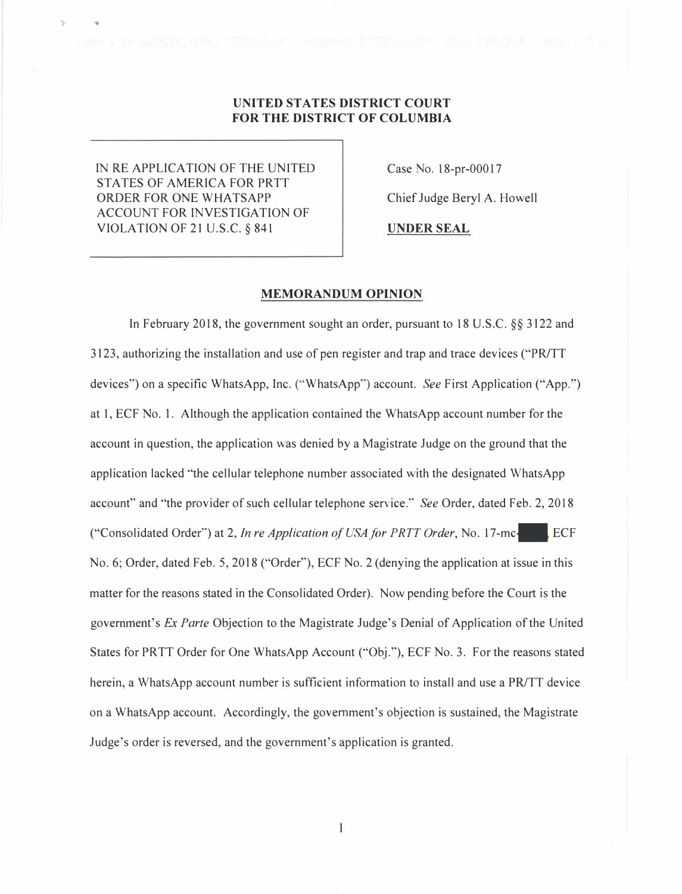# **UNITED STATES DISTRICT COURT FOR THE DISTRICT OF COLUMBIA**

IN RE APPLICATION OF THE UNITED STATES OF AMERICA FOR PRTT ORDER FOR ONE WHATSAPP ACCOUNT FOR INVESTIGATION OF VIOLATION OF 21 U.S.C. § 841

Case No. 18-pr-00017

Chief Judge Beryl A. Howell

**UNDER SEAL** 

#### **MEMORANDUM OPINION**

In February 2018, the government sought an order, pursuant to 18 U.S.C. §§ 3122 and 3123, authorizing the installation and use of pen register and trap and trace devices ("PR/TT devices") on a specific WhatsApp, Inc. ("WhatsApp") account. *See* First Application ("App.") at I, ECF No. 1. Although the application contained the WhatsApp account number for the account in question, the application was denied by a Magistrate Judge on the ground that the application lacked "the cellular telephone number associated with the designated WhatsApp account" and "the provider of such cellular telephone service." *See* Order, dated Feb. 2, 2018 ("Consolidated Order") at 2, *In re Application of USA for PRTT Order*, No. 17-mc-**ECF** No. 6; Order, dated Feb. 5,2018 ("Order"), ECF No. 2 (denying the application at issue in this matter for the reasons stated in the Consolidated Order). Now pending before the Court is the government's *Ex Parle* Objection to the Magistrate Judge's Denial of Application of the United States for PRTT Order for One WhatsApp Account ("Obj."), ECF No. 3. For the reasons stated herein, a WhatsApp account number is sufficient information to install and use a PR/TT device on a WhatsApp account. Accordingly, the government's objection is sustained, the Magistrate Judge's order is reversed, and the government's application is granted.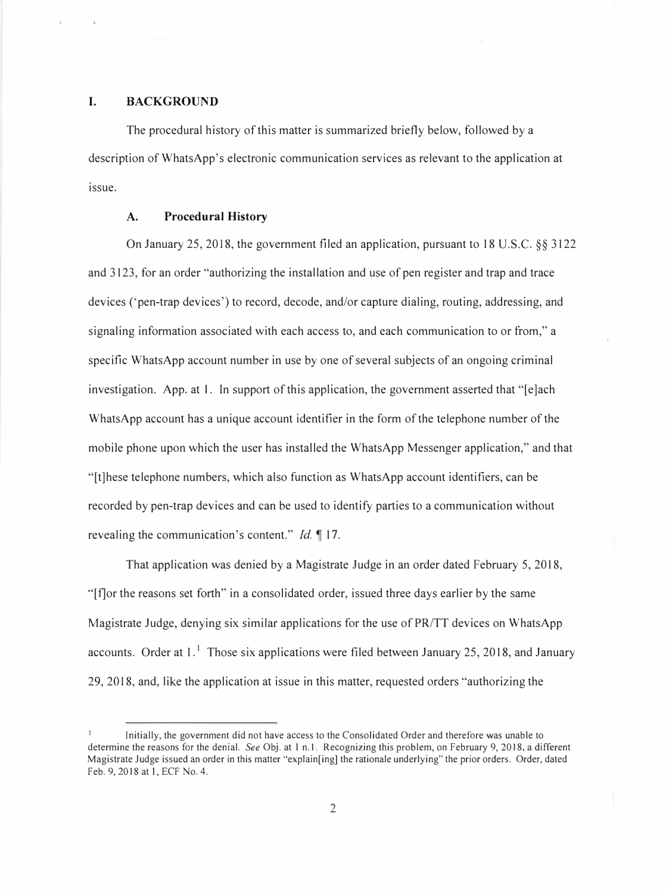## **I. BACKGROUND**

The procedural history of this matter is summarized briefly below, followed by a description of WhatsApp's electronic communication services as relevant to the application at issue.

### **A. Procedural History**

On January 25, 2018, the government filed an application, pursuant to 18 U.S.C. §§ 3122 and 3123, for an order "authorizing the installation and use of pen register and trap and trace devices ('pen-trap devices') to record, decode, and/or capture dialing, routing, addressing, and signaling information associated with each access to, and each communication to or from," a specific WhatsApp account number in use by one of several subjects of an ongoing criminal investigation. App. at I. In support of this application, the government asserted that "[e]ach WhatsApp account has a unique account identifier in the form of the telephone number of the mobile phone upon which the user has installed the WhatsApp Messenger application," and that "[t]hese telephone numbers, which also function as WhatsApp account identifiers, can be recorded by pen-trap devices and can be used to identify parties to a communication without revealing the communication's content." *Id.* 17.

That application was denied by a Magistrate Judge in an order dated February 5, 2018, "[f]or the reasons set forth" in a consolidated order, issued three days earlier by the same Magistrate Judge, denying six similar applications for the use of PR/TT devices on WhatsApp accounts. Order at  $1<sup>1</sup>$  Those six applications were filed between January 25, 2018, and January 29, 2018, and, like the application at issue in this matter, requested orders "authorizing the

Initially, the government did not have access to the Consolidated Order and therefore was unable to determine the reasons for the denial. *See* Obj . at I n. I. Recognizing this problem, on February 9, 2018, a different Magistrate Judge issued an order in this matter "explain[ing] the rationale underlying" the prior orders. Order, dated Feb. 9, 2018 at I, ECF No. 4.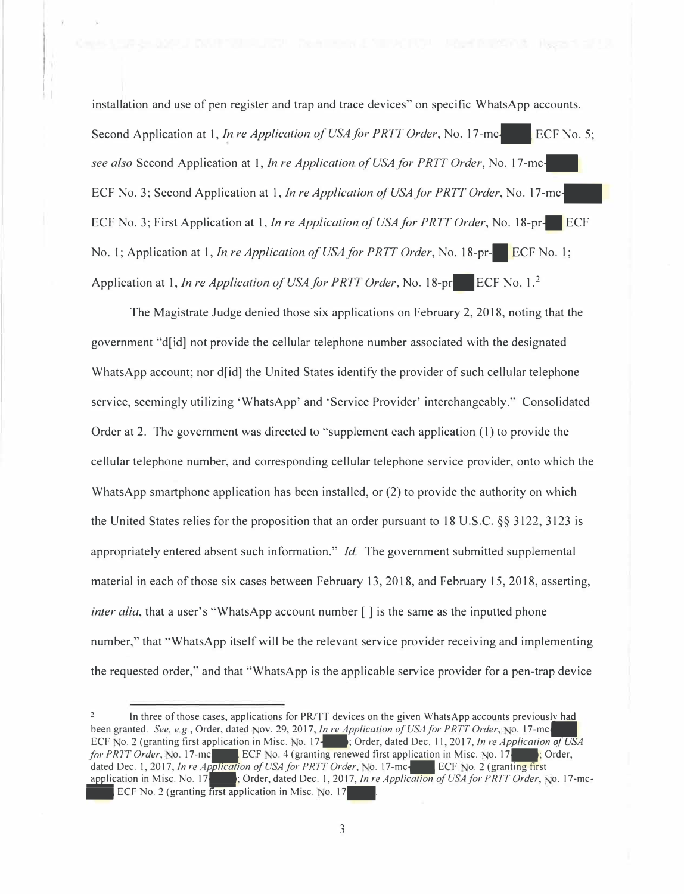installation and use of pen register and trap and trace devices" on specific WhatsApp accounts. Second Application at 1, *In re Application of USA for PRTT Order*, No. 17-mc-**ECF** No. 5; *see also* Second Application at I, *In re Application of USA for PRTT Order,* No. 17-mc-ECF No. 3; Second Application at I, *In re Application of USA for PRTT Order,* No. 17-mc-ECF No. 3; First Application at 1, *In re Application of USA for PRTT Order*, No. 18-pr. ECF No. 1; Application at 1, *In re Application of USA for PRTT Order*, No. 18-pr-**10** ECF No. 1; Application at 1, *In re Application of USA for PRTT Order*, No. 18-pr. ECF No. 1.<sup>2</sup>

I I I I

> The Magistrate Judge denied those six applications on February 2, 2018, noting that the government "d[id] not provide the cellular telephone number associated with the designated WhatsApp account; nor d[id] the United States identify the provider of such cellular telephone service, seemingly utilizing 'WhatsApp' and 'Service Provider' interchangeably." Consolidated Order at 2. The government was directed to "supplement each application (1) to provide the cellular telephone number, and corresponding cellular telephone service provider, onto which the WhatsApp smartphone application has been installed, or (2) to provide the authority on which the United States relies for the proposition that an order pursuant to 18 U.S.C. §§ 3122, 3123 is appropriately entered absent such information." *Id.* The government submitted supplemental material in each of those six cases between February 13, 2018, and February 15, 2018, asserting, *inter alia*, that a user's "WhatsApp account number  $\lceil \cdot \rceil$  is the same as the inputted phone number," that "WhatsApp itself will be the relevant service provider receiving and implementing the requested order," and that "WhatsApp is the applicable service provider for a pen-trap device

<sup>&</sup>lt;sup>2</sup> In three of those cases, applications for PR/TT devices on the given WhatsApp accounts previously been granted. *See. e.g.*, Order, dated Nov. 29, 2017, *In re Application of USA for PRTT Order*, *No.* 17-mc In three of those cases, applications for PR/TT devices on the given WhatsApp accounts previously had ECF No. 2 (granting first application in Misc. No. 17<sup>+</sup>, Order, dated Dec. 11, 2017, *In re Application of USA for PRTT Order*, No. 17-mc**-ECF No. 4 (granting renewed first application in Misc. No. 17 Fig. 17 Fig. 17 Corder,** dated Dec. 1, 2017, *In re Application of USA for PRTT Order*, No. 17-mc-**ECF No. 2 (granting first** application in Misc. No. 17<sup>-</sup>; Order, dated Dec. 1, 2017, *In re Application of USA for PRTT Order*, No. 17-mc-ECF No. 2 (granting  $\overline{first}$  application in Misc. No. 17 $\overline{F}$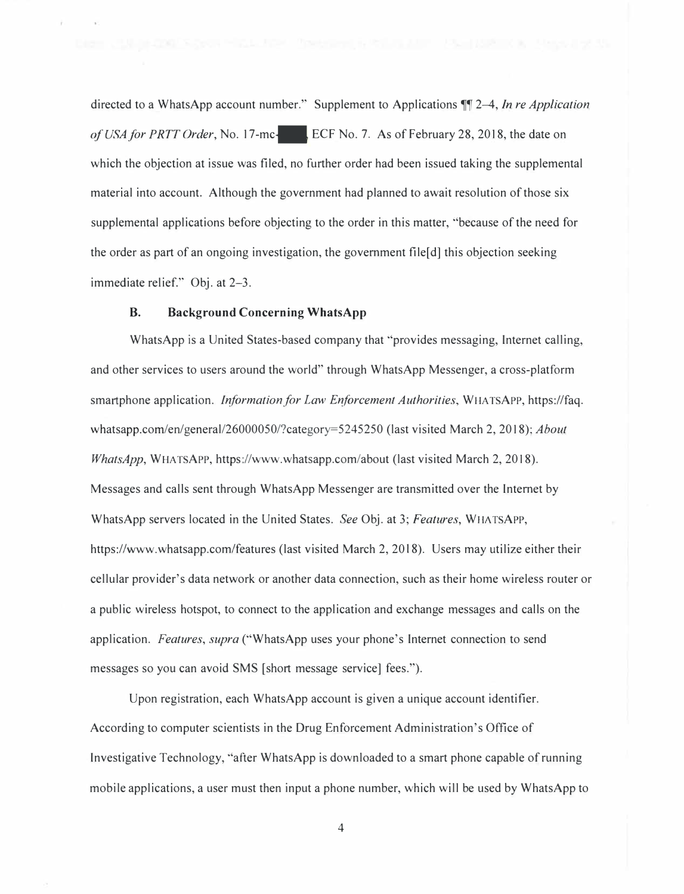directed to a WhatsApp account number." Supplement to Applications **¶** 2–4, *In re Application ofUSAfor PRTTOrder,* No. 17-mc-ECF No. 7. As of February 28, 2018, the date on which the objection at issue was filed, no further order had been issued taking the supplemental material into account. Although the government had planned to await resolution of those six supplemental applications before objecting to the order in this matter, "because of the need for the order as part of an ongoing investigation, the government file[d] this objection seeking immediate relief." Obj. at 2-3.

## **B. Background Concerning WhatsApp**

WhatsApp is a United States-based company that "provides messaging, Internet calling, and other services to users around the world" through WhatsApp Messenger, a cross-platform smartphone application. *Information for Law Enforcement Authorities*, WHATSAPP, https://faq. whatsapp.com/en/general/26000050/?category=5245250 (last visited March 2, 2018); *About WhatsApp,* WHA TSAPP, https://www.whatsapp.com/about (last visited March 2, 2018). Messages and calls sent through WhatsApp Messenger are transmitted over the Internet by WhatsApp servers located in the United States. *See* Obj. at 3; *Features,* WHA TSAPP, https://www.whatsapp.com/features (last visited March 2, 2018). Users may utilize either their cellular provider's data network or another data connection, such as their home wireless router or a public wireless hotspot, to connect to the application and exchange messages and calls on the application. *Features, supra* ("WhatsApp uses your phone's Internet connection to send messages so you can avoid SMS [short message service] fees.").

Upon registration, each WhatsApp account is given a unique account identifier. According to computer scientists in the Drug Enforcement Administration's Office of Investigative Technology, "after WhatsApp is downloaded to a smart phone capable of running mobile applications, a user must then input a phone number, which will be used by WhatsApp to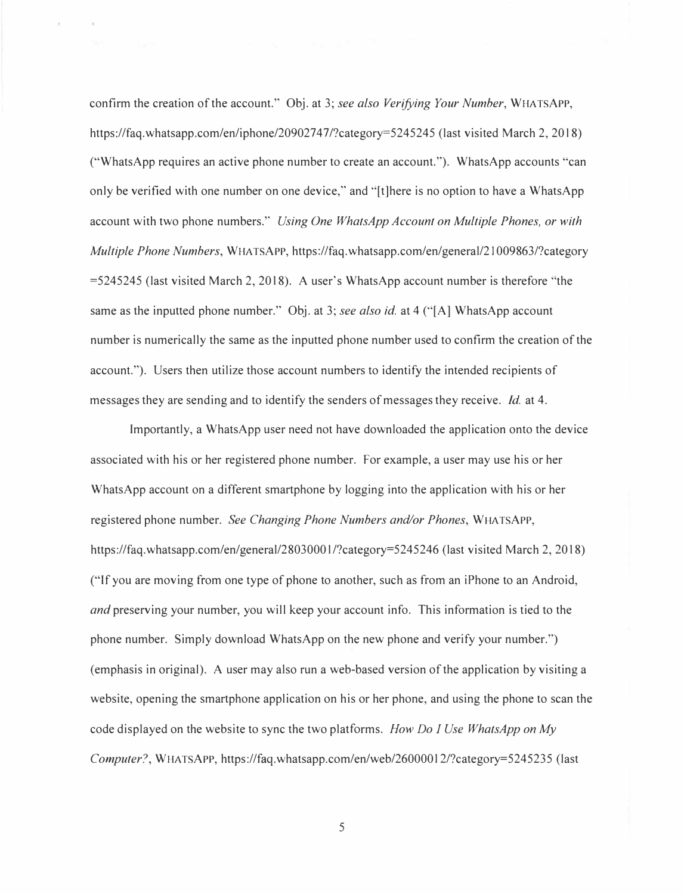confirm the creation of the account." Obj. at 3; *see also Verifying Your Number,* WHATSAPP, https://faq.whatsapp.com/en/iphone/20902747/?category=5245245 (last visited March 2, 2018) ("WhatsApp requires an active phone number to create an account."). WhatsApp accounts "can only be verified with one number on one device," and "[t]here is no option to have a WhatsApp account with two phone numbers." *Using One WhatsApp Account on Multiple Phones, or with Multiple Phone Numbers,* WHA TSAPP, https://faq. whatsapp.com/en/general/21009863/?category =5245245 (last visited March 2, 2018). A user's WhatsApp account number is therefore "the same as the inputted phone number." Obj. at 3; *see also id.* at 4 ("[A] WhatsApp account number is numerically the same as the inputted phone number used to confirm the creation of the account."). Users then utilize those account numbers to identify the intended recipients of messages they are sending and to identify the senders of messages they receive. *Id.* at 4.

Importantly, a WhatsApp user need not have downloaded the application onto the device associated with his or her registered phone number. For example, a user may use his or her WhatsApp account on a different smartphone by logging into the application with his or her registered phone number. *See Changing Phone Numbers and/or Phones,* WHATSAPP, https://faq.whatsapp.com/en/general/28030001/?category=5245246 (last visited March 2, 2018) ("If you are moving from one type of phone to another, such as from an iPhone to an Android, *and* preserving your number, you will keep your account info. This information is tied to the phone number. Simply download WhatsApp on the new phone and verify your number.") (emphasis in original). A user may also run a web-based version of the application by visiting a website, opening the smartphone application on his or her phone, and using the phone to scan the code displayed on the website to sync the two platforms. *How Do I Use WhatsApp on My Computer?,* WHATSAPP, https://faq.whatsapp.com/en/web/26000012/?category=5245235 (last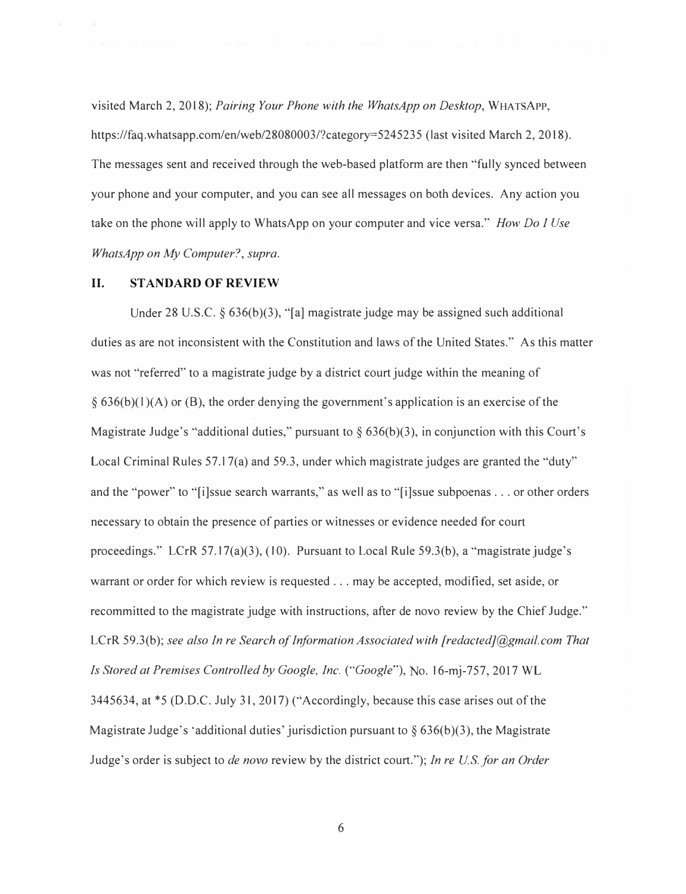visited March 2, 2018); *Pairing Your Phone with the WhatsApp on Desktop,* WHATSAPP, https://faq.whatsapp.com/en/web/28080003/?category=5245235 (last visited March 2, 2018). The messages sent and received through the web-based platform are then "fully synced between your phone and your computer, and you can see all messages on both devices. Any action you take on the phone will apply to WhatsApp on your computer and vice versa." *How Do I Use WhatsApp on My Computer?, supra.* 

#### **II. STANDARD OF REVIEW**

Under 28 U.S.C.  $\S 636(b)(3)$ , "[a] magistrate judge may be assigned such additional duties as are not inconsistent with the Constitution and laws of the United States." As this matter was not "referred" to a magistrate judge by a district court judge within the meaning of  $\S$  636(b)(1)(A) or (B), the order denying the government's application is an exercise of the Magistrate Judge's "additional duties," pursuant to  $\S 636(b)(3)$ , in conjunction with this Court's Local Criminal Rules 57.17(a) and 59.3, under which magistrate judges are granted the "duty" and the "power" to "[i]ssue search warrants," as well as to "[i]ssue subpoenas ... or other orders necessary to obtain the presence of parties or witnesses or evidence needed for court proceedings." LCrR 57.17(a)(3), (10). Pursuant to Local Rule 59.3(b), a "magistrate judge's warrant or order for which review is requested ... may be accepted, modified, set aside, or recommitted to the magistrate judge with instructions, after de novo review by the Chief Judge." LCrR 59.3(6); *see also In re Search of Information Associated with [redacted]@gmail.com That Is Stored at Premises Controlled by Google, Inc. ("Google"), No. 16-mj-757, 2017 WL* 3445634, at \*5 (D.D.C. July 31, 2017) ("Accordingly, because this case arises out of the Magistrate Judge's 'additional duties' jurisdiction pursuant to  $\S 636(b)(3)$ , the Magistrate Judge's order is subject to *de novo* review by the district court."); *In re US.for an Order*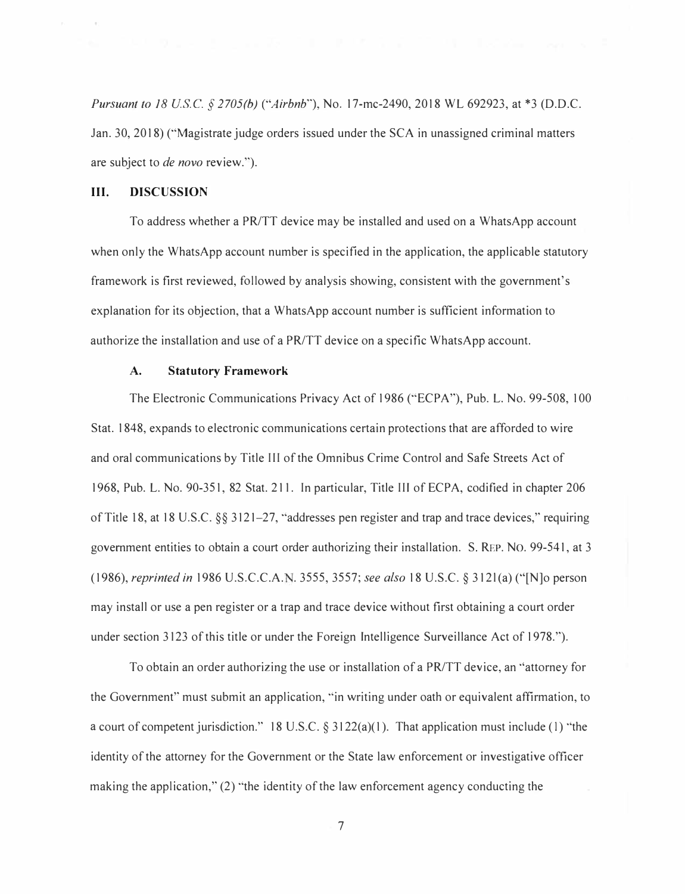*Pursuant to 18 USC§ 2705(b) ("Airbnb"),* No. 17-mc-2490, 2018 WL 692923, at \*3 (D.D.C. Jan. 30, 2018) ("Magistrate judge orders issued under the SCA in unassigned criminal matters are subject to *de novo* review.").

## **III. DISCUSSION**

To address whether a PR/TT device may be installed and used on a WhatsApp account when only the WhatsApp account number is specified in the application, the applicable statutory framework is first reviewed, followed by analysis showing, consistent with the government's explanation for its objection, that a WhatsApp account number is sufficient information to authorize the installation and use of a PR/TT device on a specific WhatsApp account.

#### **A. Statutory Framework**

The Electronic Communications Privacy Act of 1986 ("ECPA"), Pub. L. No. 99-508, 100 Stat. 1848, expands to electronic communications certain protections that are afforded to wire and oral communications by Title III of the Omnibus Crime Control and Safe Streets Act of 1968, Pub. L. No. 90-351, 82 Stat. 211. In particular, Title III of ECPA, codified in chapter 206 of Title 18, at 18 U.S.C.  $\S_{8}$  3121–27, "addresses pen register and trap and trace devices," requiring government entities to obtain a court order authorizing their installation. S. REP. No. 99-541, at 3 (1986), *reprinted in* 1986 U.S.C.C.A .. 3555, 3557; *see also* 18 U.S.C. § 312l(a) ("[N]o person may install or use a pen register or a trap and trace device without first obtaining a court order under section 3123 of this title or under the Foreign Intelligence Surveillance Act of 1978.").

To obtain an order authorizing the use or installation of a PR/TT device, an "attorney for the Government" must submit an application, "in writing under oath or equivalent affirmation, to a court of competent jurisdiction." 18 U.S.C. § 3122(a)(1). That application must include (1) "the identity of the attorney for the Government or the State law enforcement or investigative officer making the application," (2) "the identity of the law enforcement agency conducting the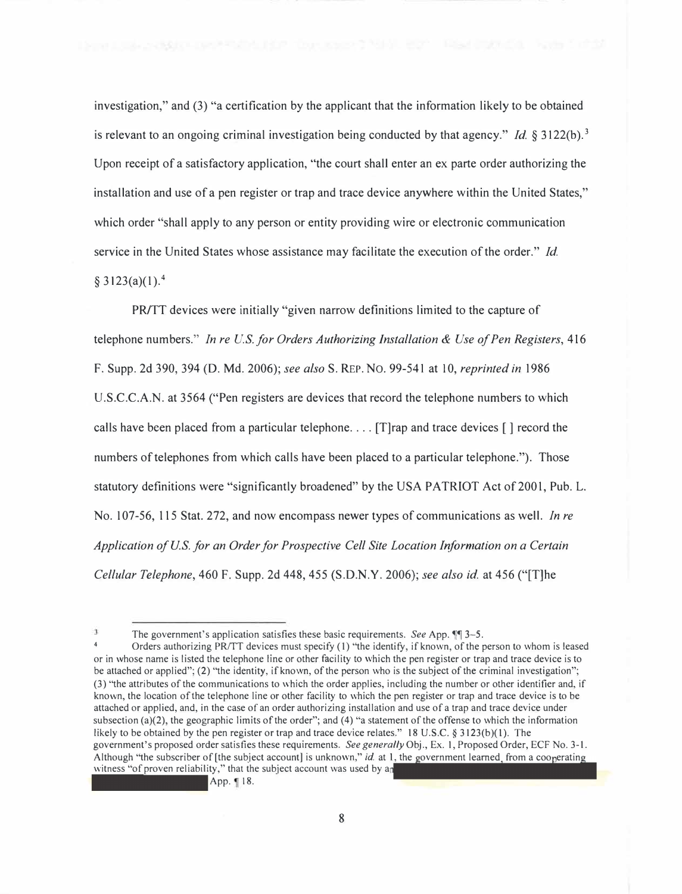investigation," and (3) "a certification by the applicant that the information likely to be obtained is relevant to an ongoing criminal investigation being conducted by that agency." *Id.* § 3122(b). 3 Upon receipt of a satisfactory application, "the court shall enter an ex parte order authorizing the installation and use of a pen register or trap and trace device anywhere within the United States," which order "shall apply to any person or entity providing wire or electronic communication service in the United States whose assistance may facilitate the execution of the order." *Id.*   $§$  3123(a)(1).<sup>4</sup>

PR/TT devices were initially "given narrow definitions limited to the capture of telephone numbers." *In re U.S. for Orders Authorizing Installation & Use of Pen Registers,* 416 F. Supp. 2d 390, 394 (D. Md. 2006); *see also* S. REP. No. 99-541 at 10, *reprinted in* 1986 U.S.C.C.A.N. at 3564 ("Pen registers are devices that record the telephone numbers to which calls have been placed from a particular telephone ... . [T]rap and trace devices [] record the numbers of telephones from which calls have been placed to a particular telephone."). Those statutory definitions were "significantly broadened" by the USA PATRIOT Act of 2001, Pub. L. No. 107-56, 115 Stat. 272, and now encompass newer types of communications as well. *In re Application of U.S. for an Order for Prospective Cell Site Location Information on a Certain Cellular Telephone,* 460 F. Supp. 2d 448, 455 (S.D.N.Y. 2006); *see also id.* at 456 ("[T]he

The government's application satisfies these basic requirements. *See App*.  $\P$  3-5.

Orders authorizing PR/TT devices must specify (1) "the identify, if known, of the person to whom is leased or in whose name is listed the telephone line or other facility to which the pen register or trap and trace device is to be attached or applied"; (2) "the identity, if known, of the person who is the subject of the criminal investigation"; (3) "the attributes of the communications to which the order applies, including the number or other identifier and, if known, the location of the telephone line or other facility to which the pen register or trap and trace device is to be attached or applied, and, in the case of an order authorizing installation and use of a trap and trace device under subsection (a)(2), the geographic limits of the order"; and (4) "a statement of the offense to which the information likely to be obtained by the pen register or trap and trace device relates." 18 U.S.C. § 3123(b)(1). The government's proposed order satisfies these requirements. *See generally* Obj., Ex. I, Proposed Order, ECF No. 3-1. Although "the subscriber of [the subject account] is unknown," *id.* at 1, the government learned, from a cooperating witness "of proven reliability," that the subject account was used by an

App. 18.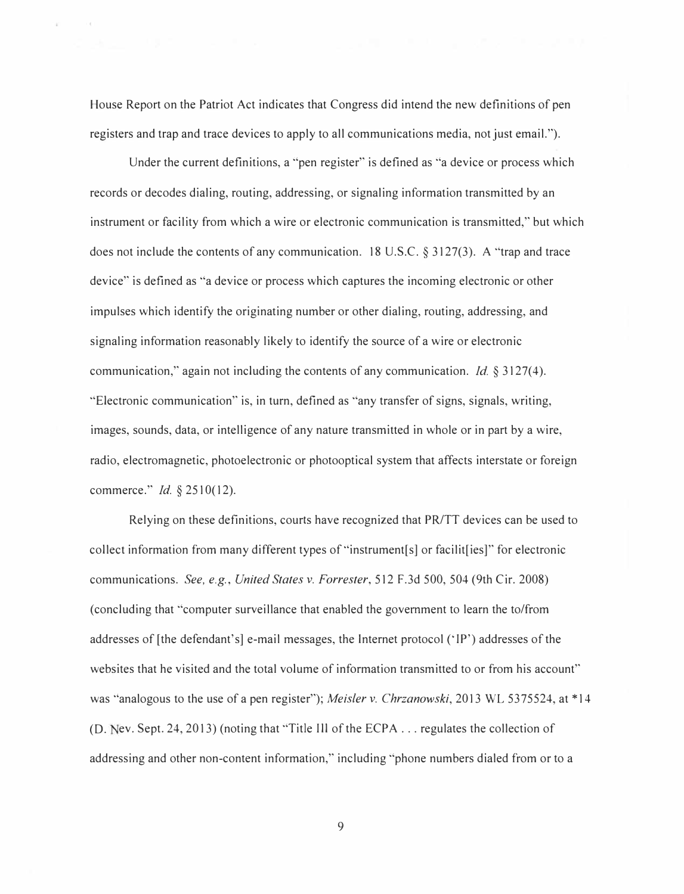House Report on the Patriot Act indicates that Congress did intend the new definitions of pen registers and trap and trace devices to apply to all communications media, not just email.").

Under the current definitions, a "pen register" is defined as "a device or process which records or decodes dialing, routing, addressing, or signaling information transmitted by an instrument or facility from which a wire or electronic communication is transmitted," but which does not include the contents of any communication. 18 U.S.C. § 3127(3). A "trap and trace device" is defined as "a device or process which captures the incoming electronic or other impulses which identify the originating number or other dialing, routing, addressing, and signaling information reasonably likely to identify the source of a wire or electronic communication," again not including the contents of any communication. *Id.* § 3127(4). "Electronic communication" is, in turn, defined as "any transfer of signs, signals, writing, images, sounds, data, or intelligence of any nature transmitted in whole or in part by a wire, radio, electromagnetic, photoelectronic or photooptical system that affects interstate or foreign commerce." *Id.§* 2510(12).

Relying on these definitions, courts have recognized that PR/TT devices can be used to collect information from many different types of "instrument[s] or facilit[ies]" for electronic communications. *See, e.g., United States v. Forrester,* 512 F .3d 500, 504 (9th Cir. 2008) (concluding that "computer surveillance that enabled the government to learn the to/from addresses of [the defendant's] e-mail messages, the Internet protocol (' IP') addresses of the websites that he visited and the total volume of information transmitted to or from his account" was "analogous to the use of a pen register"); *Meisler v. Chrzanowski*, 2013 WL 5375524, at \*14 (D. Nev. Sept. 24, 2013) (noting that "Title III of the ECPA  $\dots$  regulates the collection of addressing and other non-content information," including "phone numbers dialed from or to a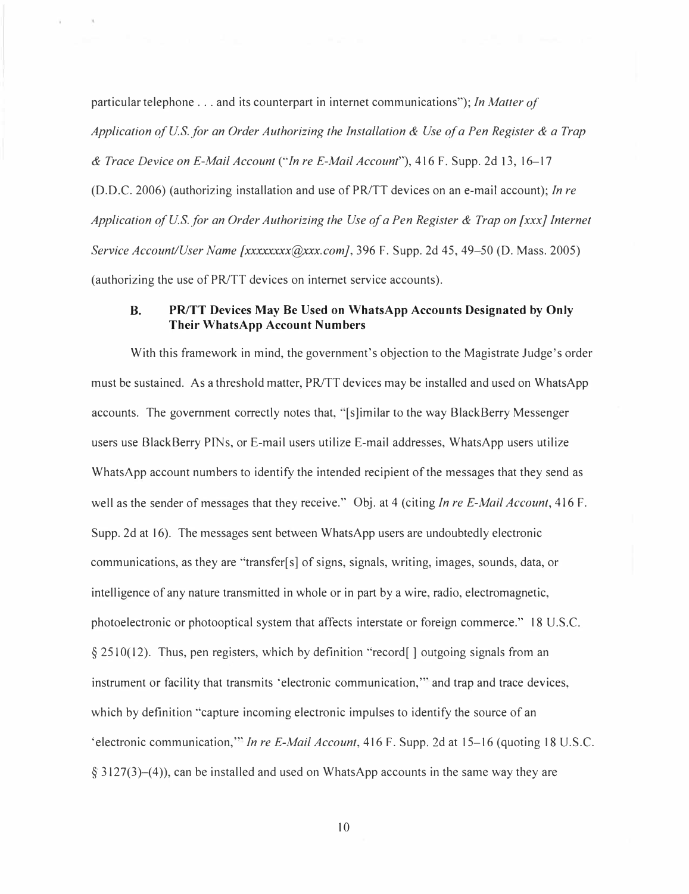particular telephone ... and its counterpart in internet communications "); *In Matter of Application of U.S. for an Order Authorizing the Installation & Use of a Pen Register & a Trap & Trace Device on E-Mail Account ("In re E-Mail Account"),* 416 F. Supp. 2d 13, 16-17 (D.D.C. 2006) (authorizing installation and use of PR/TT devices on an e-mail account); *In re Application of U.S. for an Order Authorizing the Use of a Pen Register & Trap on [xxx} Internet Service Account/User Name [xxxxxxxx(@xxx.com],* 396 F. Supp. 2d 45, 49–50 (D. Mass. 2005) (authorizing the use of PR/TT devices on internet service accounts).

## **B. PR/TT Devices May Be Used on WhatsApp Accounts Designated by Only Their WhatsApp Account Numbers**

With this framework in mind, the government's objection to the Magistrate Judge's order must be sustained. As a threshold matter, PR/TT devices may be installed and used on WhatsApp accounts. The government correctly notes that, "[s]imilar to the way BlackBerry Messenger users use BlackBerry PINs, or E-mail users utilize E-mail addresses, WhatsApp users utilize WhatsApp account numbers to identify the intended recipient of the messages that they send as well as the sender of messages that they receive." Obj. at 4 (citing *In re E-Mail Account,* 416 F. Supp. 2d at 16). The messages sent between WhatsApp users are undoubtedly electronic communications, as they are "transfer[ s] of signs, signals, writing, images, sounds, data, or intelligence of any nature transmitted in whole or in part by a wire, radio, electromagnetic, photoelectronic or photooptical system that affects interstate or foreign commerce." 18 U.S.C. § 2510(12). Thus, pen registers, which by definition "record[] outgoing signals from an instrument or facility that transmits 'electronic communication,"' and trap and trace devices, which by definition "capture incoming electronic impulses to identify the source of an 'electronic communication,"' *In re E-Mail Account,* 416 F. Supp. 2d at 15-16 (quoting 18 U.S.C.  $\S$  3127(3)–(4)), can be installed and used on WhatsApp accounts in the same way they are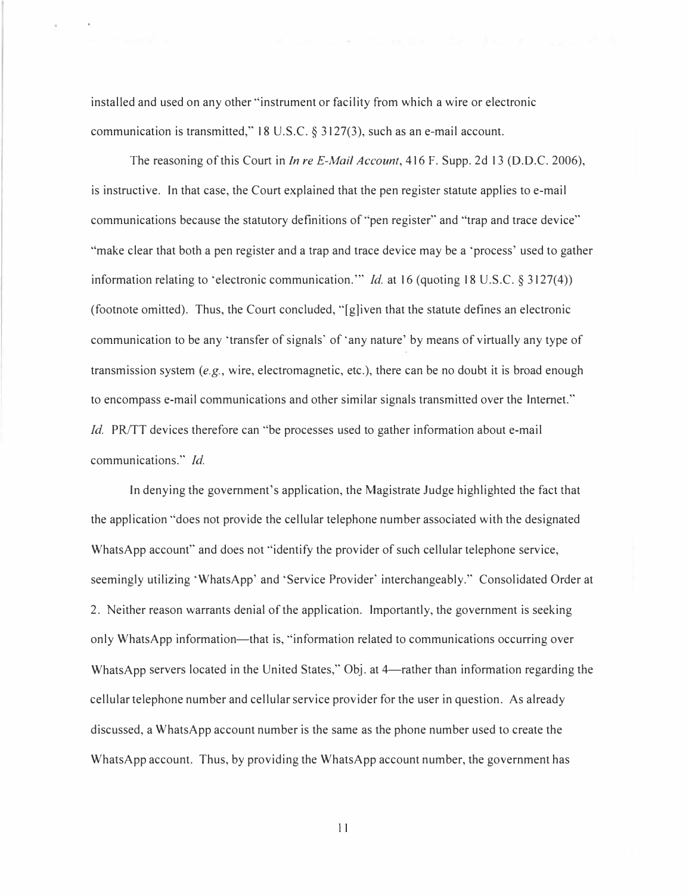installed and used on any other "instrument or facility from which a wire or electronic communication is transmitted," 18 U.S.C. § 3127(3), such as an e-mail account.

The reasoning of this Court in *In re E-Mail Account,* 416 F. Supp. 2d 13 (D.D.C. 2006), is instructive. In that case, the Court explained that the pen register statute applies to e-mail communications because the statutory definitions of "pen register" and "trap and trace device" "make clear that both a pen register and a trap and trace device may be a 'process' used to gather information relating to 'electronic communication."' *Id.* at 16 (quoting 18 U.S.C. § 3127(4)) (footnote omitted). Thus, the Court concluded, "[g]iven that the statute defines an electronic communication to be any 'transfer of signals' of 'any nature' by means of virtually any type of transmission system *(e.g.,* wire, electromagnetic, etc.), there can be no doubt it is broad enough to encompass e-mail communications and other similar signals transmitted over the Internet." *Id.* PR/TT devices therefore can "be processes used to gather information about e-mail communications." *Id.*

In denying the government's application, the Magistrate Judge highlighted the fact that the application "does not provide the cellular telephone number associated with the designated WhatsApp account" and does not "identify the provider of such cellular telephone service, seemingly utilizing 'WhatsApp' and 'Service Provider' interchangeably." Consolidated Order at 2. Neither reason warrants denial of the application. Importantly, the government is seeking only WhatsApp information—that is, "information related to communications occurring over WhatsApp servers located in the United States," Obj. at 4—rather than information regarding the cellular telephone number and cellular service provider for the user in question. As already discussed, a WhatsApp account number is the same as the phone number used to create the WhatsApp account. Thus, by providing the WhatsApp account number, the government has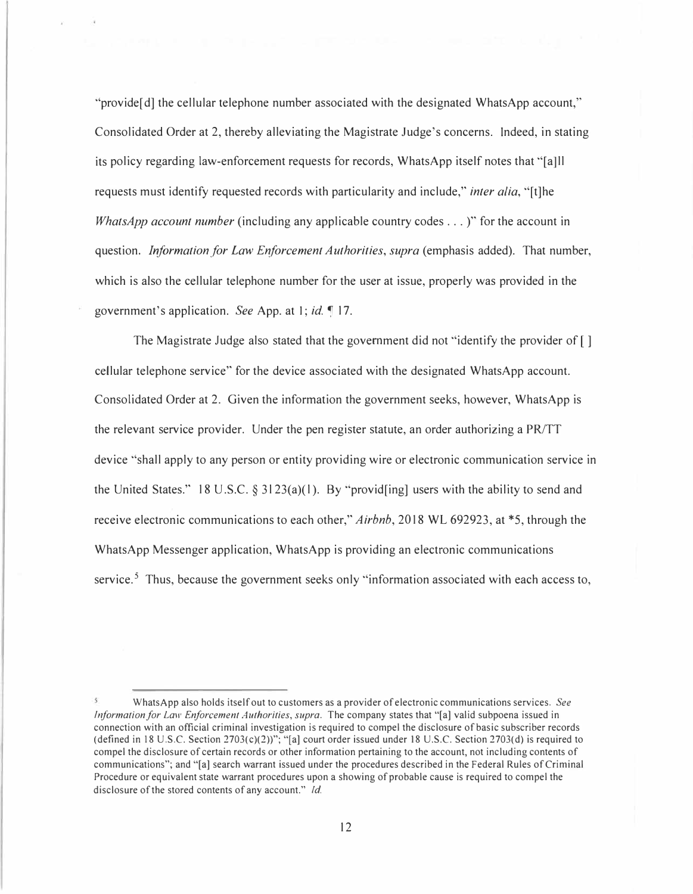"provide[ d] the cellular telephone number associated with the designated WhatsApp account," Consolidated Order at 2, thereby alleviating the Magistrate Judge's concerns. Indeed, in stating its policy regarding law-enforcement requests for records, WhatsApp itself notes that "[a]ll requests must identify requested records with particularity and include," *inter alia,* "[t]he *WhatsApp account number* (including any applicable country codes ...)" for the account in question. *Information for Law Enforcement Authorities, supra* (emphasis added). That number, which is also the cellular telephone number for the user at issue, properly was provided in the government's application. *See* App. at I; *id. �* 17.

The Magistrate Judge also stated that the government did not "identify the provider of [] cellular telephone service" for the device associated with the designated WhatsApp account. Consolidated Order at 2. Given the information the government seeks, however, WhatsApp is the relevant service provider. Under the pen register statute, an order authorizing a PR/TT device "shall apply to any person or entity providing wire or electronic communication service in the United States." 18 U.S.C. § 3123(a)(1). By "provid[ing] users with the ability to send and receive electronic communications to each other," *Airbnb,* 2018 WL 692923, at \*5, through the WhatsApp Messenger application, WhatsApp is providing an electronic communications service.<sup>5</sup> Thus, because the government seeks only "information associated with each access to,

WhatsApp also holds itself out to customers as a provider of electronic communications services. *See Information for Law Enforcement Authorities, supra.* The company states that "[a] valid subpoena issued in connection with an official criminal investigation is required to compel the disclosure of basic subscriber records (defined in 18 U.S.C. Section  $2703(c)(2)$ )"; "[a] court order issued under 18 U.S.C. Section 2703(d) is required to compel the disclosure of certain records or other information pertaining to the account, not including contents of communications"; and "[a] search warrant issued under the procedures described in the Federal Rules of Criminal Procedure or equivalent state warrant procedures upon a showing of probable cause is required to compel the disclosure of the stored contents of any account." *Id.*